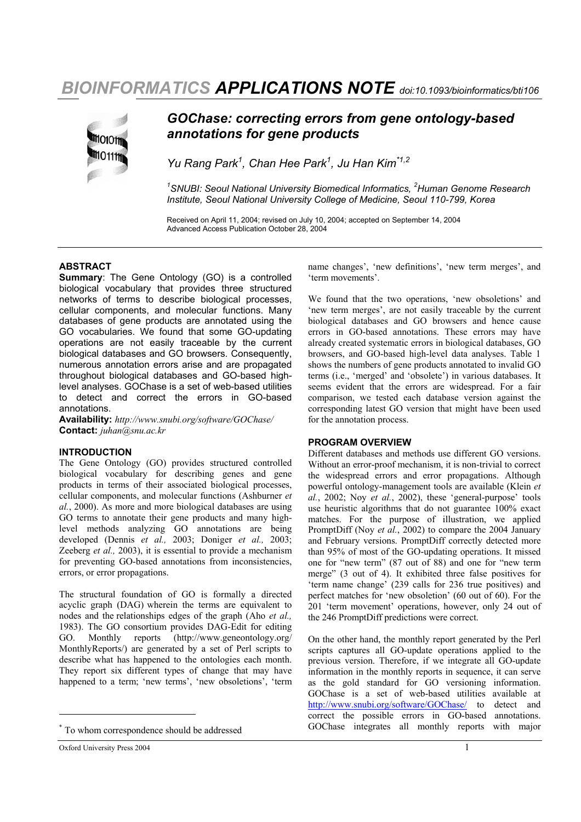# *BIOINFORMATICS APPLICATIONS NOTE doi:10.1093/bioinformatics/bti106*



## *GOChase: correcting errors from gene ontology-based annotations for gene products*

*Yu Rang Park<sup>1</sup> , Chan Hee Park<sup>1</sup> , Ju Han Kim\*1,2*

<sup>1</sup> SNUBI: Seoul National University Biomedical Informatics, <sup>2</sup> Human Genome Research *Institute, Seoul National University College of Medicine, Seoul 110-799, Korea*

Received on April 11, 2004; revised on July 10, 2004; accepted on September 14, 2004 Advanced Access Publication October 28, 2004

### **ABSTRACT**

**Summary**: The Gene Ontology (GO) is a controlled biological vocabulary that provides three structured networks of terms to describe biological processes, cellular components, and molecular functions. Many databases of gene products are annotated using the GO vocabularies. We found that some GO-updating operations are not easily traceable by the current biological databases and GO browsers. Consequently, numerous annotation errors arise and are propagated throughout biological databases and GO-based highlevel analyses. GOChase is a set of web-based utilities to detect and correct the errors in GO-based annotations.

**Availability:** *http://www.snubi.org/software/GOChase/* **Contact:** *juhan@snu.ac.kr*

### **INTRODUCTION**

The Gene Ontology (GO) provides structured controlled biological vocabulary for describing genes and gene products in terms of their associated biological processes, cellular components, and molecular functions (Ashburner *et al.*, 2000). As more and more biological databases are using GO terms to annotate their gene products and many highlevel methods analyzing GO annotations are being developed (Dennis *et al.,* 2003; Doniger *et al.,* 2003; Zeeberg *et al.,* 2003), it is essential to provide a mechanism for preventing GO-based annotations from inconsistencies, errors, or error propagations.

The structural foundation of GO is formally a directed acyclic graph (DAG) wherein the terms are equivalent to nodes and the relationships edges of the graph (Aho *et al.,* 1983). The GO consortium provides DAG-Edit for editing GO. Monthly reports (http://www.geneontology.org/ MonthlyReports/) are generated by a set of Perl scripts to describe what has happened to the ontologies each month. They report six different types of change that may have happened to a term; 'new terms', 'new obsoletions', 'term

name changes', 'new definitions', 'new term merges', and 'term movements'.

We found that the two operations, 'new obsoletions' and 'new term merges', are not easily traceable by the current biological databases and GO browsers and hence cause errors in GO-based annotations. These errors may have already created systematic errors in biological databases, GO browsers, and GO-based high-level data analyses. Table 1 shows the numbers of gene products annotated to invalid GO terms (i.e., 'merged' and 'obsolete') in various databases. It seems evident that the errors are widespread. For a fair comparison, we tested each database version against the corresponding latest GO version that might have been used for the annotation process.

### **PROGRAM OVERVIEW**

Different databases and methods use different GO versions. Without an error-proof mechanism, it is non-trivial to correct the widespread errors and error propagations. Although powerful ontology-management tools are available (Klein *et al.*, 2002; Noy *et al.*, 2002), these 'general-purpose' tools use heuristic algorithms that do not guarantee 100% exact matches. For the purpose of illustration, we applied PromptDiff (Noy *et al.*, 2002) to compare the 2004 January and February versions. PromptDiff correctly detected more than 95% of most of the GO-updating operations. It missed one for "new term" (87 out of 88) and one for "new term merge" (3 out of 4). It exhibited three false positives for 'term name change' (239 calls for 236 true positives) and perfect matches for 'new obsoletion' (60 out of 60). For the 201 'term movement' operations, however, only 24 out of the 246 PromptDiff predictions were correct.

On the other hand, the monthly report generated by the Perl scripts captures all GO-update operations applied to the previous version. Therefore, if we integrate all GO-update information in the monthly reports in sequence, it can serve as the gold standard for GO versioning information. GOChase is a set of web-based utilities available at http://www.snubi.org/software/GOChase/ to detect and correct the possible errors in GO-based annotations. GOChase integrates all monthly reports with major

<sup>\*</sup> To whom correspondence should be addressed

Oxford University Press 2004 1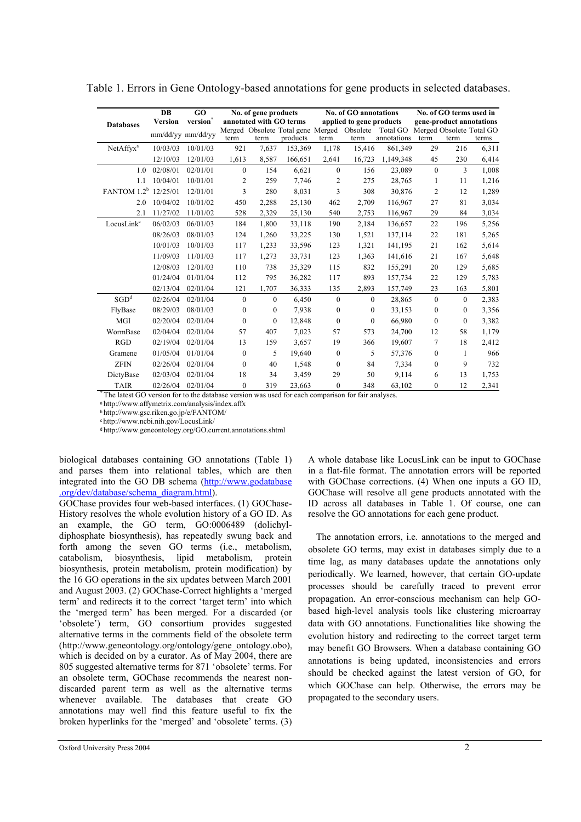|                        | GO.<br>DB      |                   | No. of gene products                                                  |              |          | <b>No. of GO annotations</b> |              |                         | No. of GO terms used in  |              |                                   |
|------------------------|----------------|-------------------|-----------------------------------------------------------------------|--------------|----------|------------------------------|--------------|-------------------------|--------------------------|--------------|-----------------------------------|
| <b>Databases</b>       | <b>Version</b> | version           | annotated with GO terms<br>Merged Obsolete Total gene Merged Obsolete |              |          | applied to gene products     |              |                         | gene-product annotations |              |                                   |
|                        |                | mm/dd/yy mm/dd/yy | term                                                                  | term         | products | term                         | term         | Total GO<br>annotations | term                     | term         | Merged Obsolete Total GO<br>terms |
| NetAffyx <sup>a</sup>  | 10/03/03       | 10/01/03          | 921                                                                   | 7.637        | 153,369  | 1,178                        | 15,416       | 861,349                 | 29                       | 216          | 6,311                             |
|                        | 12/10/03       | 12/01/03          | 1,613                                                                 | 8,587        | 166,651  | 2,641                        | 16,723       | 1,149,348               | 45                       | 230          | 6,414                             |
| 1.0                    | 02/08/01       | 02/01/01          | $\theta$                                                              | 154          | 6,621    | $\theta$                     | 156          | 23,089                  | $\theta$                 | 3            | 1,008                             |
| 1.1                    | 10/04/01       | 10/01/01          | 2                                                                     | 259          | 7,746    | 2                            | 275          | 28,765                  | 1                        | 11           | 1,216                             |
| FANTOM $1.2b$          | 12/25/01       | 12/01/01          | 3                                                                     | 280          | 8,031    | 3                            | 308          | 30,876                  | $\overline{2}$           | 12           | 1,289                             |
| 2.0                    | 10/04/02       | 10/01/02          | 450                                                                   | 2,288        | 25,130   | 462                          | 2,709        | 116,967                 | 27                       | 81           | 3,034                             |
| 2.1                    | 11/27/02       | 11/01/02          | 528                                                                   | 2,329        | 25,130   | 540                          | 2,753        | 116,967                 | 29                       | 84           | 3,034                             |
| LocusLink <sup>c</sup> | 06/02/03       | 06/01/03          | 184                                                                   | 1,800        | 33,118   | 190                          | 2,184        | 136,657                 | 22                       | 196          | 5,256                             |
|                        | 08/26/03       | 08/01/03          | 124                                                                   | 1,260        | 33,225   | 130                          | 1,521        | 137,114                 | 22                       | 181          | 5,265                             |
|                        | 10/01/03       | 10/01/03          | 117                                                                   | 1,233        | 33,596   | 123                          | 1,321        | 141,195                 | 21                       | 162          | 5,614                             |
|                        | 11/09/03       | 11/01/03          | 117                                                                   | 1,273        | 33,731   | 123                          | 1,363        | 141,616                 | 21                       | 167          | 5,648                             |
|                        | 12/08/03       | 12/01/03          | 110                                                                   | 738          | 35,329   | 115                          | 832          | 155,291                 | 20                       | 129          | 5,685                             |
|                        | 01/24/04       | 01/01/04          | 112                                                                   | 795          | 36,282   | 117                          | 893          | 157,734                 | 22                       | 129          | 5,783                             |
|                        | 02/13/04       | 02/01/04          | 121                                                                   | 1,707        | 36,333   | 135                          | 2,893        | 157,749                 | 23                       | 163          | 5,801                             |
| $\mathrm{SGD}^d$       | 02/26/04       | 02/01/04          | $\theta$                                                              | $\mathbf{0}$ | 6,450    | $\theta$                     | $\theta$     | 28,865                  | $\theta$                 | $\mathbf{0}$ | 2,383                             |
| FlyBase                | 08/29/03       | 08/01/03          | $\mathbf{0}$                                                          | $\mathbf{0}$ | 7,938    | $\mathbf{0}$                 | $\mathbf{0}$ | 33,153                  | $\mathbf{0}$             | $\mathbf{0}$ | 3,356                             |
| MGI                    | 02/20/04       | 02/01/04          | $\theta$                                                              | $\mathbf{0}$ | 12,848   | $\mathbf{0}$                 | $\theta$     | 66,980                  | $\mathbf{0}$             | $\mathbf{0}$ | 3,382                             |
| WormBase               | 02/04/04       | 02/01/04          | 57                                                                    | 407          | 7,023    | 57                           | 573          | 24,700                  | 12                       | 58           | 1,179                             |
| RGD                    | 02/19/04       | 02/01/04          | 13                                                                    | 159          | 3,657    | 19                           | 366          | 19,607                  | 7                        | 18           | 2,412                             |
| Gramene                | 01/05/04       | 01/01/04          | $\Omega$                                                              | 5            | 19,640   | $\mathbf{0}$                 | 5            | 57,376                  | $\mathbf{0}$             | 1            | 966                               |
| <b>ZFIN</b>            | 02/26/04       | 02/01/04          | $\theta$                                                              | 40           | 1,548    | $\theta$                     | 84           | 7,334                   | $\mathbf{0}$             | 9            | 732                               |
| DictyBase              | 02/03/04       | 02/01/04          | 18                                                                    | 34           | 3,459    | 29                           | 50           | 9,114                   | 6                        | 13           | 1,753                             |
| <b>TAIR</b>            | 02/26/04       | 02/01/04          | $\Omega$                                                              | 319          | 23.663   | $\mathbf{0}$                 | 348          | 63.102                  | $\Omega$                 | 12           | 2,341                             |

Table 1. Errors in Gene Ontology-based annotations for gene products in selected databases.

**\*** The latest GO version for to the database version was used for each comparison for fair analyses.

ahttn://www.affymetrix.com/analysis/index.affx

<sup>b</sup>http://www.gsc.riken.go.jp/e/FANTOM/

<sup>c</sup>http://www.ncbi.nih.gov/LocusLink/

d http://www.geneontology.org/GO.current.annotations.shtml

biological databases containing GO annotations (Table 1) and parses them into relational tables, which are then integrated into the GO DB schema (http://www.godatabase .org/dev/database/schema\_diagram.html).

GOChase provides four web-based interfaces. (1) GOChase-History resolves the whole evolution history of a GO ID. As an example, the GO term, GO:0006489 (dolichyldiphosphate biosynthesis), has repeatedly swung back and forth among the seven GO terms (i.e., metabolism, catabolism, biosynthesis, lipid metabolism, protein biosynthesis, protein metabolism, protein modification) by the 16 GO operations in the six updates between March 2001 and August 2003. (2) GOChase-Correct highlights a 'merged term' and redirects it to the correct 'target term' into which the 'merged term' has been merged. For a discarded (or 'obsolete') term, GO consortium provides suggested alternative terms in the comments field of the obsolete term (http://www.geneontology.org/ontology/gene\_ontology.obo), which is decided on by a curator. As of May 2004, there are 805 suggested alternative terms for 871 'obsolete' terms. For an obsolete term, GOChase recommends the nearest nondiscarded parent term as well as the alternative terms whenever available. The databases that create GO annotations may well find this feature useful to fix the broken hyperlinks for the 'merged' and 'obsolete' terms. (3)

A whole database like LocusLink can be input to GOChase in a flat-file format. The annotation errors will be reported with GOChase corrections. (4) When one inputs a GO ID, GOChase will resolve all gene products annotated with the ID across all databases in Table 1. Of course, one can resolve the GO annotations for each gene product.

The annotation errors, i.e. annotations to the merged and obsolete GO terms, may exist in databases simply due to a time lag, as many databases update the annotations only periodically. We learned, however, that certain GO-update processes should be carefully traced to prevent error propagation. An error-conscious mechanism can help GObased high-level analysis tools like clustering microarray data with GO annotations. Functionalities like showing the evolution history and redirecting to the correct target term may benefit GO Browsers. When a database containing GO annotations is being updated, inconsistencies and errors should be checked against the latest version of GO, for which GOChase can help. Otherwise, the errors may be propagated to the secondary users.